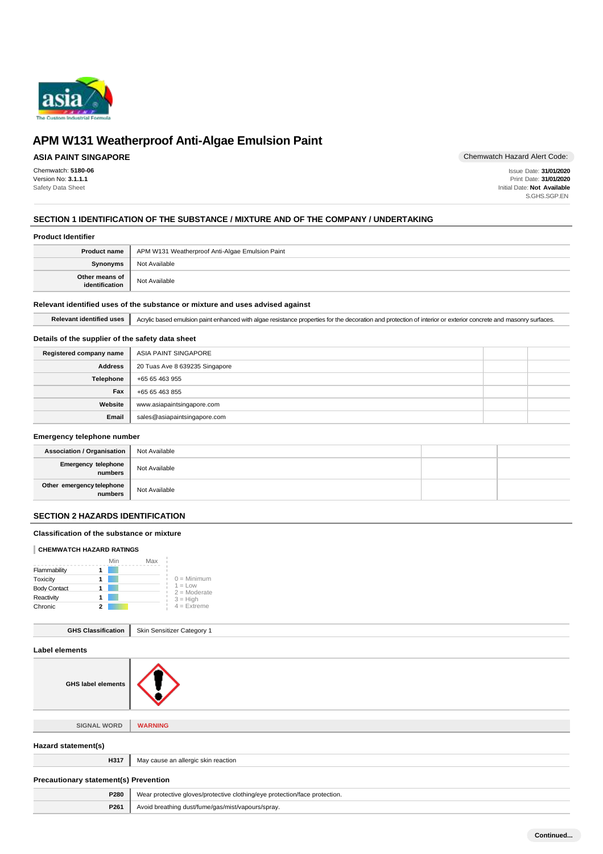

## **ASIA PAINT SINGAPORE**

Chemwatch: **5180-06** Version No: **3.1.1.1** Safety Data Sheet

Chemwatch Hazard Alert Code:

Issue Date: **31/01/2020** Print Date: **31/01/2020** Initial Date: **Not Available** S.GHS.SGP.EN

### **SECTION 1 IDENTIFICATION OF THE SUBSTANCE / MIXTURE AND OF THE COMPANY / UNDERTAKING**

#### **Product Identifier**

| <b>Product name</b>              | APM W131 Weatherproof Anti-Algae Emulsion Paint |
|----------------------------------|-------------------------------------------------|
| <b>Synonyms</b>                  | Not Available                                   |
| Other means of<br>identification | Not Available                                   |

#### **Relevant identified uses of the substance or mixture and uses advised against**

Relevant identified uses **Acrylic based emulsion paint enhanced with algae resistance properties for the decoration and protection of interior or exterior concrete and masonry surfaces.** 

### **Details of the supplier of the safety data sheet**

| Registered company name | ASIA PAINT SINGAPORE           |  |
|-------------------------|--------------------------------|--|
| <b>Address</b>          | 20 Tuas Ave 8 639235 Singapore |  |
| Telephone               | +65 65 463 955                 |  |
| Fax                     | +65 65 463 855                 |  |
| Website                 | www.asiapaintsingapore.com     |  |
| Email                   | sales@asiapaintsingapore.com   |  |

### **Emergency telephone number**

| <b>Association / Organisation</b>    | Not Available |  |
|--------------------------------------|---------------|--|
| Emergency telephone<br>numbers       | Not Available |  |
| Other emergency telephone<br>numbers | Not Available |  |

## **SECTION 2 HAZARDS IDENTIFICATION**

#### **Classification of the substance or mixture**

#### **CHEMWATCH HAZARD RATINGS**

|                     | Min | Max |                             |
|---------------------|-----|-----|-----------------------------|
| Flammability        |     |     |                             |
| Toxicity            |     |     | $0 =$ Minimum               |
| <b>Body Contact</b> |     |     | $1 = Low$<br>$2 =$ Moderate |
| Reactivity          |     |     | $3 = High$                  |
| Chronic             |     |     | $4$ = Extreme               |

|  | <b>GHS Classification</b>   Skin Sensitizer Category 1 |
|--|--------------------------------------------------------|
|--|--------------------------------------------------------|

| Label elements                               |                                                                            |
|----------------------------------------------|----------------------------------------------------------------------------|
| <b>GHS label elements</b>                    |                                                                            |
|                                              |                                                                            |
| <b>SIGNAL WORD</b>                           | <b>WARNING</b>                                                             |
| Hazard statement(s)                          |                                                                            |
| H317                                         | May cause an allergic skin reaction                                        |
| <b>Precautionary statement(s) Prevention</b> |                                                                            |
| P280                                         | Wear protective gloves/protective clothing/eye protection/face protection. |
| P261                                         | Avoid breathing dust/fume/gas/mist/vapours/spray.                          |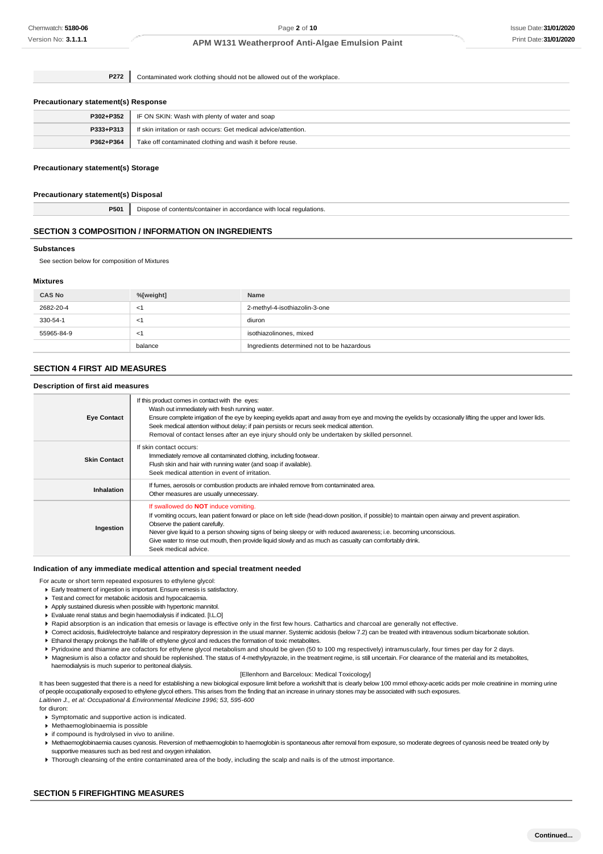**P272** Contaminated work clothing should not be allowed out of the workplace.

#### **Precautionary statement(s) Response**

| P302+P352 | IF ON SKIN: Wash with plenty of water and soap                   |
|-----------|------------------------------------------------------------------|
| P333+P313 | If skin irritation or rash occurs: Get medical advice/attention. |
| P362+P364 | Take off contaminated clothing and wash it before reuse.         |

#### **Precautionary statement(s) Storage**

#### **Precautionary statement(s) Disposal**

**P501** Dispose of contents/container in accordance with local regulations.

#### **SECTION 3 COMPOSITION / INFORMATION ON INGREDIENTS**

#### **Substances**

See section below for composition of Mixtures

#### **Mixtures**

| <b>CAS No</b> | %[weight] | Name                                       |
|---------------|-----------|--------------------------------------------|
| 2682-20-4     | - < 1     | 2-methyl-4-isothiazolin-3-one              |
| 330-54-1      | —<'i      | diuron                                     |
| 55965-84-9    | $\leq$    | isothiazolinones, mixed                    |
|               | balance   | Ingredients determined not to be hazardous |

## **SECTION 4 FIRST AID MEASURES**

#### **Description of first aid measures**

| <b>Eye Contact</b>  | If this product comes in contact with the eyes:<br>Wash out immediately with fresh running water.<br>Ensure complete irrigation of the eye by keeping eyelids apart and away from eye and moving the eyelids by occasionally lifting the upper and lower lids.<br>Seek medical attention without delay; if pain persists or recurs seek medical attention.<br>Removal of contact lenses after an eye injury should only be undertaken by skilled personnel.                                |
|---------------------|--------------------------------------------------------------------------------------------------------------------------------------------------------------------------------------------------------------------------------------------------------------------------------------------------------------------------------------------------------------------------------------------------------------------------------------------------------------------------------------------|
| <b>Skin Contact</b> | If skin contact occurs:<br>Immediately remove all contaminated clothing, including footwear.<br>Flush skin and hair with running water (and soap if available).<br>Seek medical attention in event of irritation.                                                                                                                                                                                                                                                                          |
| Inhalation          | If fumes, aerosols or combustion products are inhaled remove from contaminated area.<br>Other measures are usually unnecessary.                                                                                                                                                                                                                                                                                                                                                            |
| Ingestion           | If swallowed do <b>NOT</b> induce vomiting.<br>If vomiting occurs, lean patient forward or place on left side (head-down position, if possible) to maintain open airway and prevent aspiration.<br>Observe the patient carefully.<br>Never give liquid to a person showing signs of being sleepy or with reduced awareness; i.e. becoming unconscious.<br>Give water to rinse out mouth, then provide liquid slowly and as much as casualty can comfortably drink.<br>Seek medical advice. |

#### **Indication of any immediate medical attention and special treatment needed**

- For acute or short term repeated exposures to ethylene glycol:
- Early treatment of ingestion is important. Ensure emesis is satisfactory.
- **Test and correct for metabolic acidosis and hypocalcaemia.**
- Apply sustained diuresis when possible with hypertonic mannitol.
- Evaluate renal status and begin haemodialysis if indicated. [I.L.O]
- Rapid absorption is an indication that emesis or lavage is effective only in the first few hours. Cathartics and charcoal are generally not effective.
- ▶ Correct acidosis, fluid/electrolyte balance and respiratory depression in the usual manner. Systemic acidosis (below 7.2) can be treated with intravenous sodium bicarbonate solution. Ethanol therapy prolongs the half-life of ethylene glycol and reduces the formation of toxic metabolites.
- 
- Pyridoxine and thiamine are cofactors for ethylene glycol metabolism and should be given (50 to 100 mg respectively) intramuscularly, four times per day for 2 days.
- Magnesium is also a cofactor and should be replenished. The status of 4-methylpyrazole, in the treatment regime, is still uncertain. For clearance of the material and its metabolites, haemodialysis is much superior to peritoneal dialysis.

#### [Ellenhorn and Barceloux: Medical Toxicology]

It has been suggested that there is a need for establishing a new biological exposure limit before a workshift that is clearly below 100 mmol ethoxy-acetic acids per mole creatinine in morning urine of people occupationally exposed to ethylene glycol ethers. This arises from the finding that an increase in urinary stones may be associated with such exposures. *Laitinen J., et al: Occupational & Environmental Medicine 1996; 53, 595-600*

for diuron:

- Symptomatic and supportive action is indicated.
- Methaemoglobinaemia is possible
- **i** if compound is hydrolysed in vivo to aniline
- 
- Methaemoglobinaemia causes cyanosis. Reversion of methaemoglobin to haemoglobin is spontaneous after removal from exposure, so moderate degrees of cyanosis need be treated only by supportive measures such as bed rest and oxygen inhalation.
- ▶ Thorough cleansing of the entire contaminated area of the body, including the scalp and nails is of the utmost importance.

#### **SECTION 5 FIREFIGHTING MEASURES**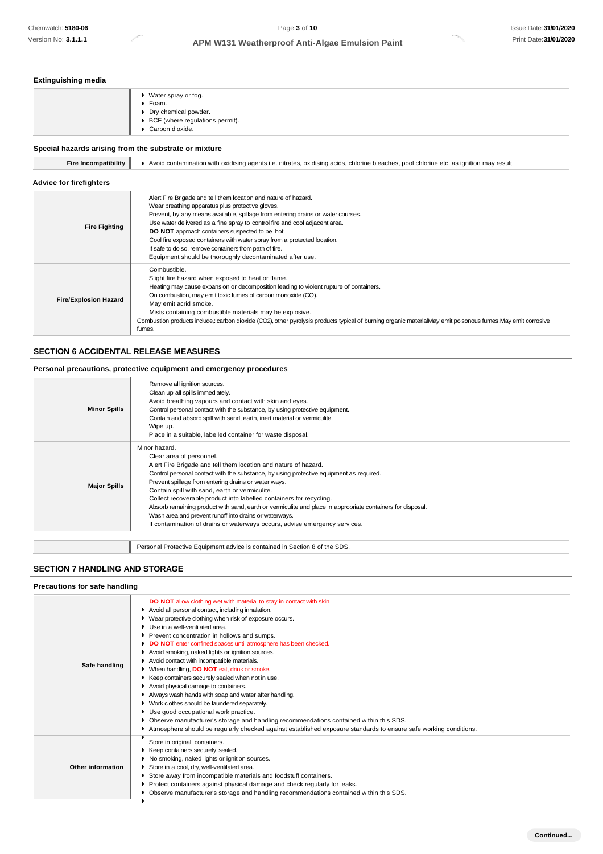## **Extinguishing media**

| ▶ Water spray or fog.<br>▶ Foam.<br>• Dry chemical powder.<br>▶ BCF (where regulations permit).<br>Carbon dioxide. |
|--------------------------------------------------------------------------------------------------------------------|
|                                                                                                                    |

## **Special hazards arising from the substrate or mixture**

| Fire Incompatibility  <br>▶ Avoid contamination with oxidising agents i.e. nitrates, oxidising acids, chlorine bleaches, pool chlorine etc. as ignition may result |  |
|--------------------------------------------------------------------------------------------------------------------------------------------------------------------|--|
|--------------------------------------------------------------------------------------------------------------------------------------------------------------------|--|

## **Advice for firefighters**

| <b>Fire Fighting</b>         | Alert Fire Brigade and tell them location and nature of hazard.<br>Wear breathing apparatus plus protective gloves.<br>Prevent, by any means available, spillage from entering drains or water courses.<br>Use water delivered as a fine spray to control fire and cool adjacent area.<br>DO NOT approach containers suspected to be hot.<br>Cool fire exposed containers with water spray from a protected location.<br>If safe to do so, remove containers from path of fire.<br>Equipment should be thoroughly decontaminated after use. |
|------------------------------|---------------------------------------------------------------------------------------------------------------------------------------------------------------------------------------------------------------------------------------------------------------------------------------------------------------------------------------------------------------------------------------------------------------------------------------------------------------------------------------------------------------------------------------------|
| <b>Fire/Explosion Hazard</b> | Combustible.<br>Slight fire hazard when exposed to heat or flame.<br>Heating may cause expansion or decomposition leading to violent rupture of containers.<br>On combustion, may emit toxic fumes of carbon monoxide (CO).<br>May emit acrid smoke.<br>Mists containing combustible materials may be explosive.<br>Combustion products include, carbon dioxide (CO2), other pyrolysis products typical of burning organic materialMay emit poisonous fumes. May emit corrosive<br>fumes.                                                   |

## **SECTION 6 ACCIDENTAL RELEASE MEASURES**

#### **Personal precautions, protective equipment and emergency procedures**

| <b>Minor Spills</b> | Remove all ignition sources.<br>Clean up all spills immediately.<br>Avoid breathing vapours and contact with skin and eyes.<br>Control personal contact with the substance, by using protective equipment.<br>Contain and absorb spill with sand, earth, inert material or vermiculite.<br>Wipe up.<br>Place in a suitable, labelled container for waste disposal.                                                                                                                                                                                                                                                                             |
|---------------------|------------------------------------------------------------------------------------------------------------------------------------------------------------------------------------------------------------------------------------------------------------------------------------------------------------------------------------------------------------------------------------------------------------------------------------------------------------------------------------------------------------------------------------------------------------------------------------------------------------------------------------------------|
| <b>Major Spills</b> | Minor hazard.<br>Clear area of personnel.<br>Alert Fire Brigade and tell them location and nature of hazard.<br>Control personal contact with the substance, by using protective equipment as required.<br>Prevent spillage from entering drains or water ways.<br>Contain spill with sand, earth or vermiculite.<br>Collect recoverable product into labelled containers for recycling.<br>Absorb remaining product with sand, earth or vermiculite and place in appropriate containers for disposal.<br>Wash area and prevent runoff into drains or waterways.<br>If contamination of drains or waterways occurs, advise emergency services. |
|                     | Personal Protective Equipment advice is contained in Section 8 of the SDS.                                                                                                                                                                                                                                                                                                                                                                                                                                                                                                                                                                     |

### **SECTION 7 HANDLING AND STORAGE**

| Precautions for safe handling |                                                                                                                                                                                                                                                                                                                                                                                                                                                                                                                                                                                                                                                                                                                                                                                                                                                                                                                                                                   |
|-------------------------------|-------------------------------------------------------------------------------------------------------------------------------------------------------------------------------------------------------------------------------------------------------------------------------------------------------------------------------------------------------------------------------------------------------------------------------------------------------------------------------------------------------------------------------------------------------------------------------------------------------------------------------------------------------------------------------------------------------------------------------------------------------------------------------------------------------------------------------------------------------------------------------------------------------------------------------------------------------------------|
| Safe handling                 | <b>DO NOT</b> allow clothing wet with material to stay in contact with skin<br>Avoid all personal contact, including inhalation.<br>▶ Wear protective clothing when risk of exposure occurs.<br>Use in a well-ventilated area.<br>Prevent concentration in hollows and sumps.<br>DO NOT enter confined spaces until atmosphere has been checked.<br>Avoid smoking, naked lights or ignition sources.<br>Avoid contact with incompatible materials.<br>▶ When handling, DO NOT eat, drink or smoke.<br>Keep containers securely sealed when not in use.<br>Avoid physical damage to containers.<br>Always wash hands with soap and water after handling.<br>• Work clothes should be laundered separately.<br>Use good occupational work practice.<br>▶ Observe manufacturer's storage and handling recommendations contained within this SDS.<br>Atmosphere should be regularly checked against established exposure standards to ensure safe working conditions. |
| Other information             | Store in original containers.<br>Keep containers securely sealed.<br>No smoking, naked lights or ignition sources.<br>Store in a cool, dry, well-ventilated area.<br>Store away from incompatible materials and foodstuff containers.<br>Protect containers against physical damage and check regularly for leaks.<br>▶ Observe manufacturer's storage and handling recommendations contained within this SDS.                                                                                                                                                                                                                                                                                                                                                                                                                                                                                                                                                    |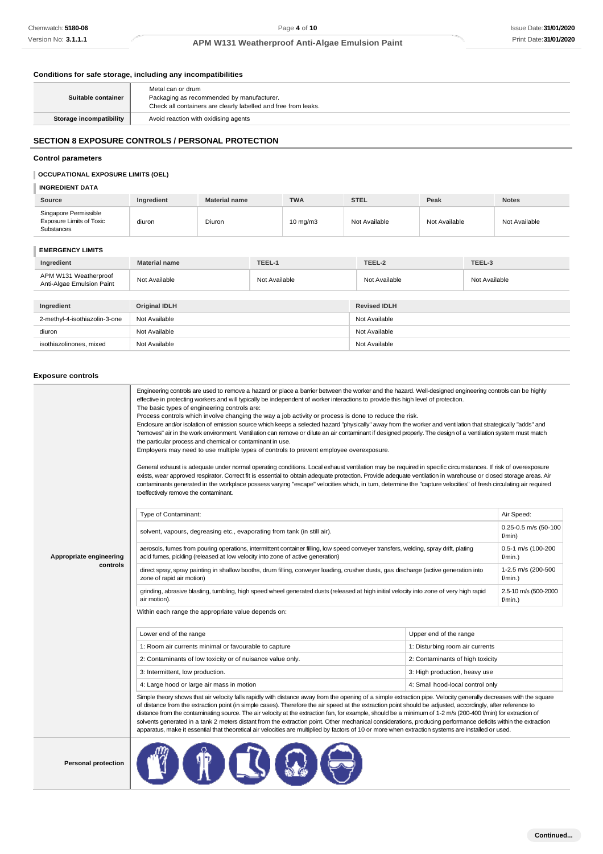#### **Conditions for safe storage, including any incompatibilities**

| Suitable container      | Metal can or drum<br>Packaging as recommended by manufacturer.<br>Check all containers are clearly labelled and free from leaks. |
|-------------------------|----------------------------------------------------------------------------------------------------------------------------------|
| Storage incompatibility | Avoid reaction with oxidising agents                                                                                             |

## **SECTION 8 EXPOSURE CONTROLS / PERSONAL PROTECTION**

#### **Control parameters**

## **OCCUPATIONAL EXPOSURE LIMITS (OEL)**

#### **INGREDIENT DATA**

| <b>Source</b>                                                          | Ingredient | <b>Material name</b> | <b>TWA</b>        | <b>STEL</b>   | Peak          | <b>Notes</b>  |
|------------------------------------------------------------------------|------------|----------------------|-------------------|---------------|---------------|---------------|
| Singapore Permissible<br><b>Exposure Limits of Toxic</b><br>Substances | diuron     | Diuron               | $10 \text{ mg/m}$ | Not Available | Not Available | Not Available |

### **EMERGENCY LIMITS**

| Ingredient                                         | <b>Material name</b> | TEEL-1        | TEEL-2              | TEEL-3        |
|----------------------------------------------------|----------------------|---------------|---------------------|---------------|
| APM W131 Weatherproof<br>Anti-Algae Emulsion Paint | Not Available        | Not Available | Not Available       | Not Available |
|                                                    |                      |               |                     |               |
| Ingredient                                         | Original IDLH        |               | <b>Revised IDLH</b> |               |
| 2-methyl-4-isothiazolin-3-one                      | Not Available        |               | Not Available       |               |
| diuron                                             | Not Available        |               | Not Available       |               |
| isothiazolinones, mixed                            | Not Available        |               | Not Available       |               |

#### **Exposure controls**

|                            | Engineering controls are used to remove a hazard or place a barrier between the worker and the hazard. Well-designed engineering controls can be highly<br>effective in protecting workers and will typically be independent of worker interactions to provide this high level of protection.<br>The basic types of engineering controls are:<br>Process controls which involve changing the way a job activity or process is done to reduce the risk.<br>Enclosure and/or isolation of emission source which keeps a selected hazard "physically" away from the worker and ventilation that strategically "adds" and<br>"removes" air in the work environment. Ventilation can remove or dilute an air contaminant if designed properly. The design of a ventilation system must match<br>the particular process and chemical or contaminant in use.<br>Employers may need to use multiple types of controls to prevent employee overexposure.<br>General exhaust is adequate under normal operating conditions. Local exhaust ventilation may be required in specific circumstances. If risk of overexposure<br>exists, wear approved respirator. Correct fit is essential to obtain adequate protection. Provide adequate ventilation in warehouse or closed storage areas. Air<br>contaminants generated in the workplace possess varying "escape" velocities which, in turn, determine the "capture velocities" of fresh circulating air required<br>to effectively remove the contaminant. |                                    |                                |
|----------------------------|--------------------------------------------------------------------------------------------------------------------------------------------------------------------------------------------------------------------------------------------------------------------------------------------------------------------------------------------------------------------------------------------------------------------------------------------------------------------------------------------------------------------------------------------------------------------------------------------------------------------------------------------------------------------------------------------------------------------------------------------------------------------------------------------------------------------------------------------------------------------------------------------------------------------------------------------------------------------------------------------------------------------------------------------------------------------------------------------------------------------------------------------------------------------------------------------------------------------------------------------------------------------------------------------------------------------------------------------------------------------------------------------------------------------------------------------------------------------------------------------------|------------------------------------|--------------------------------|
|                            | Type of Contaminant:                                                                                                                                                                                                                                                                                                                                                                                                                                                                                                                                                                                                                                                                                                                                                                                                                                                                                                                                                                                                                                                                                                                                                                                                                                                                                                                                                                                                                                                                             |                                    | Air Speed:                     |
|                            | solvent, vapours, degreasing etc., evaporating from tank (in still air).                                                                                                                                                                                                                                                                                                                                                                                                                                                                                                                                                                                                                                                                                                                                                                                                                                                                                                                                                                                                                                                                                                                                                                                                                                                                                                                                                                                                                         |                                    | 0.25-0.5 m/s (50-100<br>f/min) |
| Appropriate engineering    | aerosols, fumes from pouring operations, intermittent container filling, low speed conveyer transfers, welding, spray drift, plating<br>acid fumes, pickling (released at low velocity into zone of active generation)                                                                                                                                                                                                                                                                                                                                                                                                                                                                                                                                                                                                                                                                                                                                                                                                                                                                                                                                                                                                                                                                                                                                                                                                                                                                           |                                    | 0.5-1 m/s (100-200<br>f/min.)  |
| controls                   | direct spray, spray painting in shallow booths, drum filling, conveyer loading, crusher dusts, gas discharge (active generation into<br>zone of rapid air motion)                                                                                                                                                                                                                                                                                                                                                                                                                                                                                                                                                                                                                                                                                                                                                                                                                                                                                                                                                                                                                                                                                                                                                                                                                                                                                                                                | 1-2.5 m/s (200-500<br>f/min.)      |                                |
|                            | grinding, abrasive blasting, tumbling, high speed wheel generated dusts (released at high initial velocity into zone of very high rapid<br>air motion).                                                                                                                                                                                                                                                                                                                                                                                                                                                                                                                                                                                                                                                                                                                                                                                                                                                                                                                                                                                                                                                                                                                                                                                                                                                                                                                                          | 2.5-10 m/s (500-2000<br>$f/min.$ ) |                                |
|                            | Within each range the appropriate value depends on:                                                                                                                                                                                                                                                                                                                                                                                                                                                                                                                                                                                                                                                                                                                                                                                                                                                                                                                                                                                                                                                                                                                                                                                                                                                                                                                                                                                                                                              |                                    |                                |
|                            | Lower end of the range                                                                                                                                                                                                                                                                                                                                                                                                                                                                                                                                                                                                                                                                                                                                                                                                                                                                                                                                                                                                                                                                                                                                                                                                                                                                                                                                                                                                                                                                           | Upper end of the range             |                                |
|                            | 1: Room air currents minimal or favourable to capture                                                                                                                                                                                                                                                                                                                                                                                                                                                                                                                                                                                                                                                                                                                                                                                                                                                                                                                                                                                                                                                                                                                                                                                                                                                                                                                                                                                                                                            | 1: Disturbing room air currents    |                                |
|                            | 2: Contaminants of low toxicity or of nuisance value only.                                                                                                                                                                                                                                                                                                                                                                                                                                                                                                                                                                                                                                                                                                                                                                                                                                                                                                                                                                                                                                                                                                                                                                                                                                                                                                                                                                                                                                       | 2: Contaminants of high toxicity   |                                |
|                            | 3: Intermittent, low production.                                                                                                                                                                                                                                                                                                                                                                                                                                                                                                                                                                                                                                                                                                                                                                                                                                                                                                                                                                                                                                                                                                                                                                                                                                                                                                                                                                                                                                                                 | 3: High production, heavy use      |                                |
|                            | 4: Large hood or large air mass in motion                                                                                                                                                                                                                                                                                                                                                                                                                                                                                                                                                                                                                                                                                                                                                                                                                                                                                                                                                                                                                                                                                                                                                                                                                                                                                                                                                                                                                                                        | 4: Small hood-local control only   |                                |
|                            | Simple theory shows that air velocity falls rapidly with distance away from the opening of a simple extraction pipe. Velocity generally decreases with the square<br>of distance from the extraction point (in simple cases). Therefore the air speed at the extraction point should be adjusted, accordingly, after reference to<br>distance from the contaminating source. The air velocity at the extraction fan, for example, should be a minimum of 1-2 m/s (200-400 f/min) for extraction of<br>solvents generated in a tank 2 meters distant from the extraction point. Other mechanical considerations, producing performance deficits within the extraction<br>apparatus, make it essential that theoretical air velocities are multiplied by factors of 10 or more when extraction systems are installed or used.                                                                                                                                                                                                                                                                                                                                                                                                                                                                                                                                                                                                                                                                      |                                    |                                |
| <b>Personal protection</b> |                                                                                                                                                                                                                                                                                                                                                                                                                                                                                                                                                                                                                                                                                                                                                                                                                                                                                                                                                                                                                                                                                                                                                                                                                                                                                                                                                                                                                                                                                                  |                                    |                                |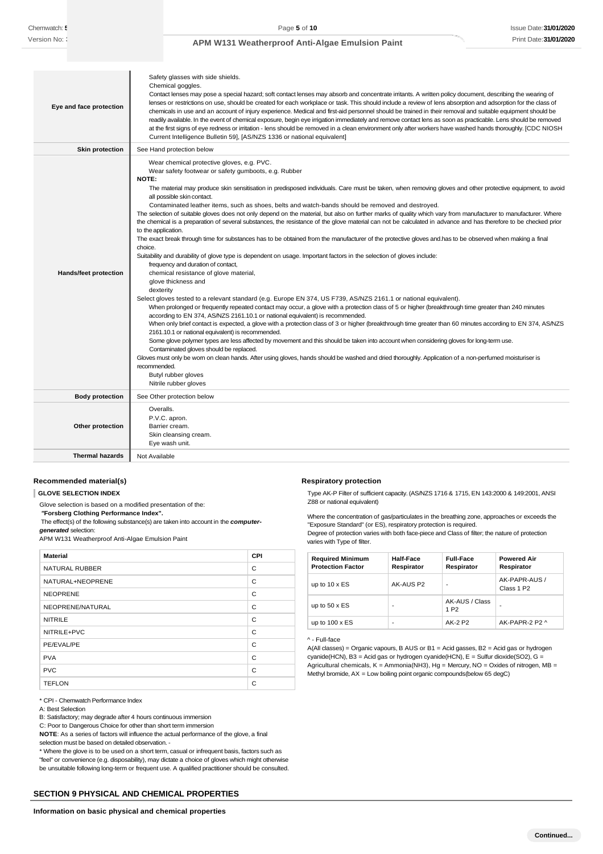| Eye and face protection                    | Safety glasses with side shields.<br>Chemical goggles.<br>Contact lenses may pose a special hazard; soft contact lenses may absorb and concentrate irritants. A written policy document, describing the wearing of<br>lenses or restrictions on use, should be created for each workplace or task. This should include a review of lens absorption and adsorption for the class of<br>chemicals in use and an account of injury experience. Medical and first-aid personnel should be trained in their removal and suitable equipment should be<br>readily available. In the event of chemical exposure, begin eye irrigation immediately and remove contact lens as soon as practicable. Lens should be removed<br>at the first signs of eye redness or irritation - lens should be removed in a clean environment only after workers have washed hands thoroughly. [CDC NIOSH<br>Current Intelligence Bulletin 59], [AS/NZS 1336 or national equivalent]                                                                                                                                                                                                                                                                                                                                                                                                                                                                                                                                                                                                                                                                                                                                                                                                                                                                                                                                                                                                                                                                                                                                                                                                                                  |
|--------------------------------------------|---------------------------------------------------------------------------------------------------------------------------------------------------------------------------------------------------------------------------------------------------------------------------------------------------------------------------------------------------------------------------------------------------------------------------------------------------------------------------------------------------------------------------------------------------------------------------------------------------------------------------------------------------------------------------------------------------------------------------------------------------------------------------------------------------------------------------------------------------------------------------------------------------------------------------------------------------------------------------------------------------------------------------------------------------------------------------------------------------------------------------------------------------------------------------------------------------------------------------------------------------------------------------------------------------------------------------------------------------------------------------------------------------------------------------------------------------------------------------------------------------------------------------------------------------------------------------------------------------------------------------------------------------------------------------------------------------------------------------------------------------------------------------------------------------------------------------------------------------------------------------------------------------------------------------------------------------------------------------------------------------------------------------------------------------------------------------------------------------------------------------------------------------------------------------------------------|
| <b>Skin protection</b>                     | See Hand protection below                                                                                                                                                                                                                                                                                                                                                                                                                                                                                                                                                                                                                                                                                                                                                                                                                                                                                                                                                                                                                                                                                                                                                                                                                                                                                                                                                                                                                                                                                                                                                                                                                                                                                                                                                                                                                                                                                                                                                                                                                                                                                                                                                                   |
| <b>Hands/feet protection</b>               | Wear chemical protective gloves, e.g. PVC.<br>Wear safety footwear or safety gumboots, e.g. Rubber<br>NOTE:<br>The material may produce skin sensitisation in predisposed individuals. Care must be taken, when removing gloves and other protective equipment, to avoid<br>all possible skin contact.<br>Contaminated leather items, such as shoes, belts and watch-bands should be removed and destroyed.<br>The selection of suitable gloves does not only depend on the material, but also on further marks of quality which vary from manufacturer to manufacturer. Where<br>the chemical is a preparation of several substances, the resistance of the glove material can not be calculated in advance and has therefore to be checked prior<br>to the application.<br>The exact break through time for substances has to be obtained from the manufacturer of the protective gloves and has to be observed when making a final<br>choice.<br>Suitability and durability of glove type is dependent on usage. Important factors in the selection of gloves include:<br>frequency and duration of contact,<br>chemical resistance of glove material,<br>glove thickness and<br>dexterity<br>Select gloves tested to a relevant standard (e.g. Europe EN 374, US F739, AS/NZS 2161.1 or national equivalent).<br>When prolonged or frequently repeated contact may occur, a glove with a protection class of 5 or higher (breakthrough time greater than 240 minutes<br>according to EN 374, AS/NZS 2161.10.1 or national equivalent) is recommended.<br>When only brief contact is expected, a glove with a protection class of 3 or higher (breakthrough time greater than 60 minutes according to EN 374, AS/NZS<br>2161.10.1 or national equivalent) is recommended.<br>Some glove polymer types are less affected by movement and this should be taken into account when considering gloves for long-term use.<br>Contaminated gloves should be replaced.<br>Gloves must only be wom on clean hands. After using gloves, hands should be washed and dried thoroughly. Application of a non-perfumed moisturiser is<br>recommended.<br>Butyl rubber gloves<br>Nitrile rubber gloves |
| <b>Body protection</b>                     | See Other protection below                                                                                                                                                                                                                                                                                                                                                                                                                                                                                                                                                                                                                                                                                                                                                                                                                                                                                                                                                                                                                                                                                                                                                                                                                                                                                                                                                                                                                                                                                                                                                                                                                                                                                                                                                                                                                                                                                                                                                                                                                                                                                                                                                                  |
| Other protection<br><b>Thermal hazards</b> | Overalls.<br>P.V.C. apron.<br>Barrier cream.<br>Skin cleansing cream.<br>Eye wash unit.                                                                                                                                                                                                                                                                                                                                                                                                                                                                                                                                                                                                                                                                                                                                                                                                                                                                                                                                                                                                                                                                                                                                                                                                                                                                                                                                                                                                                                                                                                                                                                                                                                                                                                                                                                                                                                                                                                                                                                                                                                                                                                     |
|                                            | Not Available                                                                                                                                                                                                                                                                                                                                                                                                                                                                                                                                                                                                                                                                                                                                                                                                                                                                                                                                                                                                                                                                                                                                                                                                                                                                                                                                                                                                                                                                                                                                                                                                                                                                                                                                                                                                                                                                                                                                                                                                                                                                                                                                                                               |

### **Recommended material(s)**

**GLOVE SELECTION INDEX**

Glove selection is based on a modified presentation of the:

*"***Forsberg Clothing Performance Index".**

The effect(s) of the following substance(s) are taken into account in the *computergenerated* selection:

APM W131 Weatherproof Anti-Algae Emulsion Paint

| <b>Material</b>       | <b>CPI</b> |
|-----------------------|------------|
| <b>NATURAL RUBBER</b> | C          |
| NATURAL+NEOPRENE      | C          |
| <b>NEOPRENE</b>       | C          |
| NEOPRENE/NATURAL      | C          |
| <b>NITRILE</b>        | C          |
| NITRILE+PVC           | C          |
| PE/EVAL/PE            | C          |
| <b>PVA</b>            | C          |
| <b>PVC</b>            | C          |
| <b>TEFLON</b>         | C          |

\* CPI - Chemwatch Performance Index

A: Best Selection

B: Satisfactory; may degrade after 4 hours continuous immersion

C: Poor to Dangerous Choice for other than short term immersion

**NOTE**: As a series of factors will influence the actual performance of the glove, a final selection must be based on detailed observation. -

\* Where the glove is to be used on a short term, casual or infrequent basis, factors such as "feel" or convenience (e.g. disposability), may dictate a choice of gloves which might otherwise be unsuitable following long-term or frequent use. A qualified practitioner should be consulted.

### **SECTION 9 PHYSICAL AND CHEMICAL PROPERTIES**

Type AK-P Filter of sufficient capacity. (AS/NZS 1716 & 1715, EN 143:2000 & 149:2001, ANSI Z88 or national equivalent)

Where the concentration of gas/particulates in the breathing zone, approaches or exceeds the "Exposure Standard" (or ES), respiratory protection is required.

Degree of protection varies with both face-piece and Class of filter; the nature of protection varies with Type of filter.

| <b>Required Minimum</b><br><b>Protection Factor</b> | Half-Face<br>Respirator | <b>Full-Face</b><br>Respirator     | <b>Powered Air</b><br>Respirator        |
|-----------------------------------------------------|-------------------------|------------------------------------|-----------------------------------------|
| up to $10 \times ES$                                | AK-AUS P2               | -                                  | AK-PAPR-AUS /<br>Class 1 P <sub>2</sub> |
| up to $50 \times ES$                                |                         | AK-AUS / Class<br>1 P <sub>2</sub> |                                         |
| up to $100 \times ES$                               | -                       | AK-2 P2                            | AK-PAPR-2 P2 ^                          |

#### ^ - Full-face

**Respiratory protection**

A(All classes) = Organic vapours, B AUS or B1 = Acid gasses, B2 = Acid gas or hydrogen cyanide(HCN), B3 = Acid gas or hydrogen cyanide(HCN), E = Sulfur dioxide(SO2), G = Agricultural chemicals,  $K =$  Ammonia(NH3), Hg = Mercury, NO = Oxides of nitrogen, MB = Methyl bromide, AX = Low boiling point organic compounds(below 65 degC)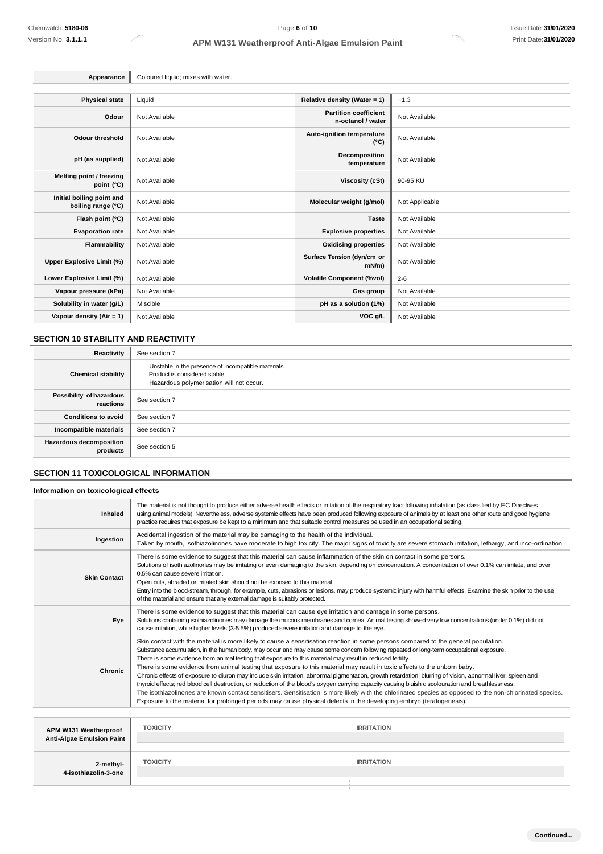| Appearance                                      | Coloured liquid; mixes with water. |                                                   |                |
|-------------------------------------------------|------------------------------------|---------------------------------------------------|----------------|
|                                                 |                                    |                                                   |                |
| <b>Physical state</b>                           | Liquid                             | Relative density (Water = 1)                      | ~1.3           |
| Odour                                           | Not Available                      | <b>Partition coefficient</b><br>n-octanol / water | Not Available  |
| <b>Odour threshold</b>                          | Not Available                      | Auto-ignition temperature<br>$(^{\circ}C)$        | Not Available  |
| pH (as supplied)                                | Not Available                      | Decomposition<br>temperature                      | Not Available  |
| Melting point / freezing<br>point (°C)          | Not Available                      | <b>Viscosity (cSt)</b>                            | 90-95 KU       |
| Initial boiling point and<br>boiling range (°C) | Not Available                      | Molecular weight (g/mol)                          | Not Applicable |
| Flash point (°C)                                | Not Available                      | <b>Taste</b>                                      | Not Available  |
| <b>Evaporation rate</b>                         | Not Available                      | <b>Explosive properties</b>                       | Not Available  |
| Flammability                                    | Not Available                      | <b>Oxidising properties</b>                       | Not Available  |
| Upper Explosive Limit (%)                       | Not Available                      | Surface Tension (dyn/cm or<br>$mN/m$ )            | Not Available  |
| Lower Explosive Limit (%)                       | Not Available                      | <b>Volatile Component (%vol)</b>                  | $2 - 6$        |
| Vapour pressure (kPa)                           | Not Available                      | Gas group                                         | Not Available  |
| Solubility in water (g/L)                       | Miscible                           | pH as a solution (1%)                             | Not Available  |
| Vapour density $(Air = 1)$                      | Not Available                      | VOC g/L                                           | Not Available  |

## **SECTION 10 STABILITY AND REACTIVITY**

| Reactivity                                 | See section 7                                                                                                                    |
|--------------------------------------------|----------------------------------------------------------------------------------------------------------------------------------|
| <b>Chemical stability</b>                  | Unstable in the presence of incompatible materials.<br>Product is considered stable.<br>Hazardous polymerisation will not occur. |
| Possibility of hazardous<br>reactions      | See section 7                                                                                                                    |
| <b>Conditions to avoid</b>                 | See section 7                                                                                                                    |
| Incompatible materials                     | See section 7                                                                                                                    |
| <b>Hazardous decomposition</b><br>products | See section 5                                                                                                                    |

## **SECTION 11 TOXICOLOGICAL INFORMATION**

### **Information on toxicological effects**

| <b>Inhaled</b>      | The material is not thought to produce either adverse health effects or irritation of the respiratory tract following inhalation (as classified by EC Directives<br>using animal models). Nevertheless, adverse systemic effects have been produced following exposure of animals by at least one other route and good hygiene<br>practice requires that exposure be kept to a minimum and that suitable control measures be used in an occupational setting.                                                                                                                                                                                                                                                                                                                                                                                                                                                                                                                                                                                                                                                                      |
|---------------------|------------------------------------------------------------------------------------------------------------------------------------------------------------------------------------------------------------------------------------------------------------------------------------------------------------------------------------------------------------------------------------------------------------------------------------------------------------------------------------------------------------------------------------------------------------------------------------------------------------------------------------------------------------------------------------------------------------------------------------------------------------------------------------------------------------------------------------------------------------------------------------------------------------------------------------------------------------------------------------------------------------------------------------------------------------------------------------------------------------------------------------|
| Ingestion           | Accidental ingestion of the material may be damaging to the health of the individual.<br>Taken by mouth, isothiazolinones have moderate to high toxicity. The major signs of toxicity are severe stomach irritation, lethargy, and inco-ordination.                                                                                                                                                                                                                                                                                                                                                                                                                                                                                                                                                                                                                                                                                                                                                                                                                                                                                |
| <b>Skin Contact</b> | There is some evidence to suggest that this material can cause inflammation of the skin on contact in some persons.<br>Solutions of isothiazolinones may be irritating or even damaging to the skin, depending on concentration. A concentration of over 0.1% can irritate, and over<br>0.5% can cause severe irritation.<br>Open cuts, abraded or irritated skin should not be exposed to this material<br>Entry into the blood-stream, through, for example, cuts, abrasions or lesions, may produce systemic injury with harmful effects. Examine the skin prior to the use<br>of the material and ensure that any external damage is suitably protected.                                                                                                                                                                                                                                                                                                                                                                                                                                                                       |
| Eye                 | There is some evidence to suggest that this material can cause eye irritation and damage in some persons.<br>Solutions containing isothiazolinones may damage the mucous membranes and comea. Animal testing showed very low concentrations (under 0.1%) did not<br>cause irritation, while higher levels (3-5.5%) produced severe irritation and damage to the eye.                                                                                                                                                                                                                                                                                                                                                                                                                                                                                                                                                                                                                                                                                                                                                               |
| Chronic             | Skin contact with the material is more likely to cause a sensitisation reaction in some persons compared to the general population.<br>Substance accumulation, in the human body, may occur and may cause some concern following repeated or long-term occupational exposure.<br>There is some evidence from animal testing that exposure to this material may result in reduced fertility.<br>There is some evidence from animal testing that exposure to this material may result in toxic effects to the unborn baby.<br>Chronic effects of exposure to diuron may include skin irritation, abnormal pigmentation, growth retardation, blurring of vision, abnormal liver, spleen and<br>thyroid effects; red blood cell destruction, or reduction of the blood's oxygen carrying capacity causing bluish discolouration and breathlessness.<br>The isothiazolinones are known contact sensitisers. Sensitisation is more likely with the chlorinated species as opposed to the non-chlorinated species.<br>Exposure to the material for prolonged periods may cause physical defects in the developing embryo (teratogenesis). |

| APM W131 Weatherproof<br>Anti-Algae Emulsion Paint | <b>TOXICITY</b> | <b>IRRITATION</b> |
|----------------------------------------------------|-----------------|-------------------|
| -2-methyl<br>4-isothiazolin-3-one                  | <b>TOXICITY</b> | <b>IRRITATION</b> |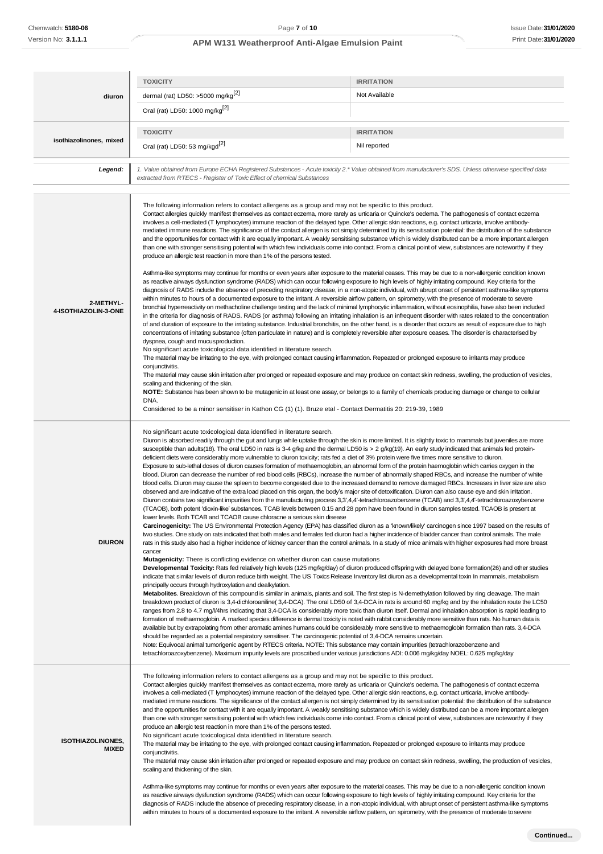|                                          | <b>TOXICITY</b>                                                                                                                                                                                                                                                                                                                                                                                                                                                                                                                                                                                                                                                                                                                                                                                                                                                                                                                                                                                                                                                                                                                                                                                                                                                                                                                                                                                                                                                                                                                                                                                                                                                                                                                                                                                                                                                                                                                                                                                                                                                                                                                                                                                                                                                                                                                                                                                                                                                                                                                                                                                                                                                                                                                                                                                                                                                                                                                                                                                                                                                                                                                                                                                                                                                                                                                                                                                                                                                                                                                                                                                                                                                                                                                                                  | <b>IRRITATION</b> |
|------------------------------------------|------------------------------------------------------------------------------------------------------------------------------------------------------------------------------------------------------------------------------------------------------------------------------------------------------------------------------------------------------------------------------------------------------------------------------------------------------------------------------------------------------------------------------------------------------------------------------------------------------------------------------------------------------------------------------------------------------------------------------------------------------------------------------------------------------------------------------------------------------------------------------------------------------------------------------------------------------------------------------------------------------------------------------------------------------------------------------------------------------------------------------------------------------------------------------------------------------------------------------------------------------------------------------------------------------------------------------------------------------------------------------------------------------------------------------------------------------------------------------------------------------------------------------------------------------------------------------------------------------------------------------------------------------------------------------------------------------------------------------------------------------------------------------------------------------------------------------------------------------------------------------------------------------------------------------------------------------------------------------------------------------------------------------------------------------------------------------------------------------------------------------------------------------------------------------------------------------------------------------------------------------------------------------------------------------------------------------------------------------------------------------------------------------------------------------------------------------------------------------------------------------------------------------------------------------------------------------------------------------------------------------------------------------------------------------------------------------------------------------------------------------------------------------------------------------------------------------------------------------------------------------------------------------------------------------------------------------------------------------------------------------------------------------------------------------------------------------------------------------------------------------------------------------------------------------------------------------------------------------------------------------------------------------------------------------------------------------------------------------------------------------------------------------------------------------------------------------------------------------------------------------------------------------------------------------------------------------------------------------------------------------------------------------------------------------------------------------------------------------------------------------------------|-------------------|
|                                          | dermal (rat) LD50: >5000 mg/kg <sup>[2]</sup>                                                                                                                                                                                                                                                                                                                                                                                                                                                                                                                                                                                                                                                                                                                                                                                                                                                                                                                                                                                                                                                                                                                                                                                                                                                                                                                                                                                                                                                                                                                                                                                                                                                                                                                                                                                                                                                                                                                                                                                                                                                                                                                                                                                                                                                                                                                                                                                                                                                                                                                                                                                                                                                                                                                                                                                                                                                                                                                                                                                                                                                                                                                                                                                                                                                                                                                                                                                                                                                                                                                                                                                                                                                                                                                    | Not Available     |
| diuron                                   | Oral (rat) LD50: 1000 mg/kg <sup>[2]</sup>                                                                                                                                                                                                                                                                                                                                                                                                                                                                                                                                                                                                                                                                                                                                                                                                                                                                                                                                                                                                                                                                                                                                                                                                                                                                                                                                                                                                                                                                                                                                                                                                                                                                                                                                                                                                                                                                                                                                                                                                                                                                                                                                                                                                                                                                                                                                                                                                                                                                                                                                                                                                                                                                                                                                                                                                                                                                                                                                                                                                                                                                                                                                                                                                                                                                                                                                                                                                                                                                                                                                                                                                                                                                                                                       |                   |
|                                          |                                                                                                                                                                                                                                                                                                                                                                                                                                                                                                                                                                                                                                                                                                                                                                                                                                                                                                                                                                                                                                                                                                                                                                                                                                                                                                                                                                                                                                                                                                                                                                                                                                                                                                                                                                                                                                                                                                                                                                                                                                                                                                                                                                                                                                                                                                                                                                                                                                                                                                                                                                                                                                                                                                                                                                                                                                                                                                                                                                                                                                                                                                                                                                                                                                                                                                                                                                                                                                                                                                                                                                                                                                                                                                                                                                  |                   |
| isothiazolinones, mixed                  | <b>TOXICITY</b>                                                                                                                                                                                                                                                                                                                                                                                                                                                                                                                                                                                                                                                                                                                                                                                                                                                                                                                                                                                                                                                                                                                                                                                                                                                                                                                                                                                                                                                                                                                                                                                                                                                                                                                                                                                                                                                                                                                                                                                                                                                                                                                                                                                                                                                                                                                                                                                                                                                                                                                                                                                                                                                                                                                                                                                                                                                                                                                                                                                                                                                                                                                                                                                                                                                                                                                                                                                                                                                                                                                                                                                                                                                                                                                                                  | <b>IRRITATION</b> |
|                                          | Oral (rat) LD50: 53 mg/kgd <sup>[2]</sup>                                                                                                                                                                                                                                                                                                                                                                                                                                                                                                                                                                                                                                                                                                                                                                                                                                                                                                                                                                                                                                                                                                                                                                                                                                                                                                                                                                                                                                                                                                                                                                                                                                                                                                                                                                                                                                                                                                                                                                                                                                                                                                                                                                                                                                                                                                                                                                                                                                                                                                                                                                                                                                                                                                                                                                                                                                                                                                                                                                                                                                                                                                                                                                                                                                                                                                                                                                                                                                                                                                                                                                                                                                                                                                                        | Nil reported      |
| Legend:                                  | 1. Value obtained from Europe ECHA Registered Substances - Acute toxicity 2.* Value obtained from manufacturer's SDS. Unless otherwise specified data<br>extracted from RTECS - Register of Toxic Effect of chemical Substances                                                                                                                                                                                                                                                                                                                                                                                                                                                                                                                                                                                                                                                                                                                                                                                                                                                                                                                                                                                                                                                                                                                                                                                                                                                                                                                                                                                                                                                                                                                                                                                                                                                                                                                                                                                                                                                                                                                                                                                                                                                                                                                                                                                                                                                                                                                                                                                                                                                                                                                                                                                                                                                                                                                                                                                                                                                                                                                                                                                                                                                                                                                                                                                                                                                                                                                                                                                                                                                                                                                                  |                   |
| 2-METHYL-<br>4-ISOTHIAZOLIN-3-ONE        | The following information refers to contact allergens as a group and may not be specific to this product.<br>Contact allergies quickly manifest themselves as contact eczema, more rarely as urticaria or Quincke's oedema. The pathogenesis of contact eczema<br>involves a cell-mediated (T lymphocytes) immune reaction of the delayed type. Other allergic skin reactions, e.g. contact urticaria, involve antibody-<br>mediated immune reactions. The significance of the contact allergen is not simply determined by its sensitisation potential: the distribution of the substance<br>and the opportunities for contact with it are equally important. A weakly sensitising substance which is widely distributed can be a more important allergen<br>than one with stronger sensitising potential with which few individuals come into contact. From a clinical point of view, substances are noteworthy if they<br>produce an allergic test reaction in more than 1% of the persons tested.<br>Asthma-like symptoms may continue for months or even years after exposure to the material ceases. This may be due to a non-allergenic condition known<br>as reactive airways dysfunction syndrome (RADS) which can occur following exposure to high levels of highly irritating compound. Key criteria for the<br>diagnosis of RADS include the absence of preceding respiratory disease, in a non-atopic individual, with abrupt onset of persistent asthma-like symptoms<br>within minutes to hours of a documented exposure to the irritant. A reversible airflow pattern, on spirometry, with the presence of moderate to severe<br>bronchial hyperreactivity on methacholine challenge testing and the lack of minimal lymphocytic inflammation, without eosinophilia, have also been included<br>in the criteria for diagnosis of RADS. RADS (or asthma) following an irritating inhalation is an infrequent disorder with rates related to the concentration<br>of and duration of exposure to the irritating substance. Industrial bronchitis, on the other hand, is a disorder that occurs as result of exposure due to high<br>concentrations of irritating substance (often particulate in nature) and is completely reversible after exposure ceases. The disorder is characterised by<br>dyspnea, cough and mucus production.<br>No significant acute toxicological data identified in literature search.<br>The material may be irritating to the eye, with prolonged contact causing inflammation. Repeated or prolonged exposure to irritants may produce<br>conjunctivitis.<br>The material may cause skin irritation after prolonged or repeated exposure and may produce on contact skin redness, swelling, the production of vesicles,<br>scaling and thickening of the skin.<br>NOTE: Substance has been shown to be mutagenic in at least one assay, or belongs to a family of chemicals producing damage or change to cellular<br>DNA.<br>Considered to be a minor sensitiser in Kathon CG (1) (1). Bruze etal - Contact Dermatitis 20: 219-39, 1989                                                                                                                                                                                                                                                                                                                                                                                                                                                                                                                                                                                                                                                                             |                   |
| <b>DIURON</b>                            | No significant acute toxicological data identified in literature search.<br>Diuron is absorbed readily through the gut and lungs while uptake through the skin is more limited. It is slightly toxic to mammals but juveniles are more<br>susceptible than adults(18). The oral LD50 in rats is 3-4 g/kg and the dermal LD50 is > 2 g/kg(19). An early study indicated that animals fed protein-<br>deficient diets were considerably more vulnerable to diuron toxicity; rats fed a diet of 3% protein were five times more sensitive to diuron.<br>Exposure to sub-lethal doses of diuron causes formation of methaemoglobin, an abnormal form of the protein haemoglobin which carries oxygen in the<br>blood. Diuron can decrease the number of red blood cells (RBCs), increase the number of abnormally shaped RBCs, and increase the number of white<br>blood cells. Diuron may cause the spleen to become congested due to the increased demand to remove damaged RBCs. Increases in liver size are also<br>observed and are indicative of the extra load placed on this organ, the body's major site of detoxification. Diuron can also cause eye and skin irritation.<br>Diuron contains two significant impurities from the manufacturing process 3,3',4,4'-tetrachloroazobenzene (TCAB) and 3,3',4,4'-tetrachloroazoxybenzene<br>(TCAOB), both potent 'dioxin-like' substances. TCAB levels between 0.15 and 28 ppm have been found in diuron samples tested. TCAOB is present at<br>lower levels. Both TCAB and TCAOB cause chloracne a serious skin disease<br>Carcinogenicity: The US Environmental Protection Agency (EPA) has classified diuron as a 'known/likely' carcinogen since 1997 based on the results of<br>two studies. One study on rats indicated that both males and females fed diuron had a higher incidence of bladder cancer than control animals. The male<br>rats in this study also had a higher incidence of kidney cancer than the control animals. In a study of mice animals with higher exposures had more breast<br>cancer<br><b>Mutagenicity:</b> There is conflicting evidence on whether diuron can cause mutations<br>Developmental Toxicity: Rats fed relatively high levels (125 mg/kg/day) of diuron produced offspring with delayed bone formation(26) and other studies<br>indicate that similar levels of diuron reduce birth weight. The US Toxics Release Inventory list diuron as a developmental toxin In mammals, metabolism<br>principally occurs through hydroxylation and dealkylation.<br>Metabolites. Breakdown of this compound is similar in animals, plants and soil. The first step is N-demethylation followed by ring cleavage. The main<br>breakdown product of diuron is 3,4-dichloroaniline(3,4-DCA). The oral LD50 of 3,4-DCA in rats is around 60 mg/kg and by the inhalation route the LC50<br>ranges from 2.8 to 4.7 mg/l/4hrs indicating that 3,4-DCA is considerably more toxic than diuron itself. Dermal and inhalation absorption is rapid leading to<br>formation of methaemoglobin. A marked species difference is dermal toxicity is noted with rabbit considerably more sensitive than rats. No human data is<br>available but by extrapolating from other aromatic amines humans could be considerably more sensitive to methaemoglobin formation than rats. 3,4-DCA<br>should be regarded as a potential respiratory sensitiser. The carcinogenic potential of 3,4-DCA remains uncertain.<br>Note: Equivocal animal tumorigenic agent by RTECS criteria. NOTE: This substance may contain impurities (tetrachlorazobenzene and<br>tetrachloroazoxybenzene). Maximum impurity levels are proscribed under various jurisdictions ADI: 0.006 mg/kg/day NOEL: 0.625 mg/kg/day |                   |
| <b>ISOTHIAZOLINONES,</b><br><b>MIXED</b> | The following information refers to contact allergens as a group and may not be specific to this product.<br>Contact allergies quickly manifest themselves as contact eczema, more rarely as urticaria or Quincke's oedema. The pathogenesis of contact eczema<br>involves a cell-mediated (T lymphocytes) immune reaction of the delayed type. Other allergic skin reactions, e.g. contact urticaria, involve antibody-<br>mediated immune reactions. The significance of the contact allergen is not simply determined by its sensitisation potential: the distribution of the substance<br>and the opportunities for contact with it are equally important. A weakly sensitising substance which is widely distributed can be a more important allergen<br>than one with stronger sensitising potential with which few individuals come into contact. From a clinical point of view, substances are noteworthy if they<br>produce an allergic test reaction in more than 1% of the persons tested.<br>No significant acute toxicological data identified in literature search.<br>The material may be irritating to the eye, with prolonged contact causing inflammation. Repeated or prolonged exposure to irritants may produce<br>conjunctivitis.<br>The material may cause skin irritation after prolonged or repeated exposure and may produce on contact skin redness, swelling, the production of vesicles,<br>scaling and thickening of the skin.<br>Asthma-like symptoms may continue for months or even years after exposure to the material ceases. This may be due to a non-allergenic condition known<br>as reactive airways dysfunction syndrome (RADS) which can occur following exposure to high levels of highly irritating compound. Key criteria for the<br>diagnosis of RADS include the absence of preceding respiratory disease, in a non-atopic individual, with abrupt onset of persistent asthma-like symptoms<br>within minutes to hours of a documented exposure to the irritant. A reversible airflow pattern, on spirometry, with the presence of moderate to severe                                                                                                                                                                                                                                                                                                                                                                                                                                                                                                                                                                                                                                                                                                                                                                                                                                                                                                                                                                                                                                                                                                                                                                                                                                                                                                                                                                                                                                                                                                                                                                                                                                                             |                   |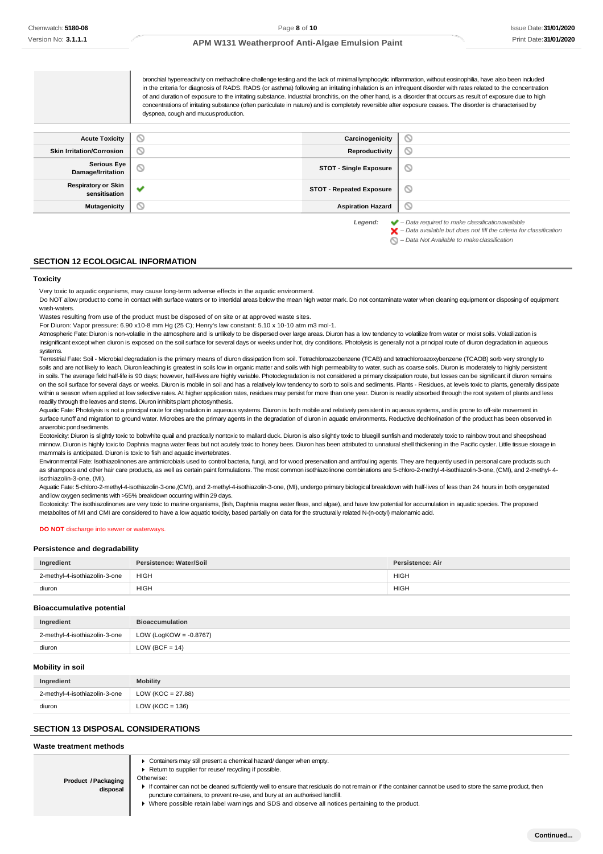bronchial hyperreactivity on methacholine challenge testing and the lack of minimal lymphocytic inflammation, without eosinophilia, have also been included in the criteria for diagnosis of RADS. RADS (or asthma) following an irritating inhalation is an infrequent disorder with rates related to the concentration of and duration of exposure to the irritating substance. Industrial bronchitis, on the other hand, is a disorder that occurs as result of exposure due to high concentrations of irritating substance (often particulate in nature) and is completely reversible after exposure ceases. The disorder is characterised by dyspnea, cough and mucusproduction.**Acute Toxicity Carcinogenicity Carcinogenicity**  $\circ$ **Skin Irritation/Corrosion Reproductivity**  $\circ$ **Serious Eye**<br>Damage/Irritation ര **Damage/Irritation STOT - Single Exposure Respiratory or Skin sensitisation STOT - Repeated Exposure**  $\circ$ **Mutagenicity Aspiration Hazard** ര

*Legend: – Data required to make classificationavailable*

*– Data available but does not fill the criteria for classification*

#### **SECTION 12 ECOLOGICAL INFORMATION**

#### **Toxicity**

Very toxic to aquatic organisms, may cause long-term adverse effects in the aquatic environment.

Do NOT allow product to come in contact with surface waters or to intertidal areas below the mean high water mark. Do not contaminate water when cleaning equipment or disposing of equipment wash-waters.

Wastes resulting from use of the product must be disposed of on site or at approved waste sites.

For Diuron: Vapor pressure: 6.90 x10-8 mm Hg (25 C); Henry's law constant: 5.10 x 10-10 atm m3 mol-1.

Atmospheric Fate: Diuron is non-volatile in the atmosphere and is unlikely to be dispersed over large areas. Diuron has a low tendency to volatilize from water or moist soils. Volatilization is insignificant except when diuron is exposed on the soil surface for several days or weeks under hot, dry conditions. Photolysis is generally not a principal route of diuron degradation in aqueous systems.

Terrestrial Fate: Soil - Microbial degradation is the primary means of diuron dissipation from soil. Tetrachloroazobenzene (TCAB) and tetrachloroazoxybenzene (TCAOB) sorb very strongly to soils and are not likely to leach. Diuron leaching is greatest in soils low in organic matter and soils with high permeability to water, such as coarse soils. Diuron is moderately to highly persistent in soils. The average field half-life is 90 days; however, half-lives are highly variable. Photodegradation is not considered a primary dissipation route, but losses can be significant if diuron remains on the soil surface for several days or weeks. Diuron is mobile in soil and has a relatively low tendency to sorb to soils and sediments. Plants - Residues, at levels toxic to plants, generally dissipate within a season when applied at low selective rates. At higher application rates, residues may persist for more than one year. Diuron is readily absorbed through the root system of plants and less readily through the leaves and stems. Diuron inhibits plant photosynthesis.

Aquatic Fate: Photolysis is not a principal route for degradation in aqueous systems. Diuron is both mobile and relatively persistent in aqueous systems, and is prone to off-site movement in surface runoff and migration to ground water. Microbes are the primary agents in the degradation of diuron in aquatic environments. Reductive dechlorination of the product has been observed in anaerobic pond sediments.

Ecotoxicity: Diuron is slightly toxic to bobwhite quail and practically nontoxic to mallard duck. Diuron is also slightly toxic to bluegill sunfish and moderately toxic to rainbow trout and sheepshead minnow. Diuron is highly toxic to Daphnia magna water fleas but not acutely toxic to honey bees. Diuron has been attributed to unnatural shell thickening in the Pacific oyster. Little tissue storage in mammals is anticipated. Diuron is toxic to fish and aquatic invertebrates.

Environmental Fate: Isothiazolinones are antimicrobials used to control bacteria, fungi, and for wood preservation and antifouling agents. They are frequently used in personal care products such as shampoos and other hair care products, as well as certain paint formulations. The most common isothiazolinone combinations are 5-chloro-2-methyl-4-isothiazolin-3-one, (CMI), and 2-methyl- 4 isothiazolin-3-one, (MI).

Aquatic Fate: 5-chloro-2-methyl-4-isothiazolin-3-one,(CMI), and 2-methyl-4-isothiazolin-3-one, (MI), undergo primary biological breakdown with half-lives of less than 24 hours in both oxygenated and low oxygen sediments with >55% breakdown occurring within 29 days.

Ecotoxicity: The isothiazolinones are very toxic to marine organisms, (fish, Daphnia magna water fleas, and algae), and have low potential for accumulation in aquatic species. The proposed metabolites of MI and CMI are considered to have a low aquatic toxicity, based partially on data for the structurally related N-(n-octyl) malonamic acid.

#### **DO NOT** discharge into sewer or waterways.

#### **Persistence and degradability**

| Ingredient                    | Persistence: Water/Soil | Persistence: Air |
|-------------------------------|-------------------------|------------------|
| 2-methyl-4-isothiazolin-3-one | <b>HIGH</b>             | <b>HIGH</b>      |
| diuron                        | <b>HIGH</b>             | <b>HIGH</b>      |

#### **Bioaccumulative potential**

| Ingredient                    | <b>Bioaccumulation</b>    |
|-------------------------------|---------------------------|
| 2-methyl-4-isothiazolin-3-one | LOW (LogKOW = $-0.8767$ ) |
| diuron                        | LOW (BCF = $14$ )         |

#### **Mobility in soil**

| Ingredient                    | <b>Mobility</b>      |
|-------------------------------|----------------------|
| 2-methyl-4-isothiazolin-3-one | LOW (KOC = $27.88$ ) |
| diuron                        | LOW ( $KOC = 136$ )  |

### **SECTION 13 DISPOSAL CONSIDERATIONS**

#### **Waste treatment methods**

**Product /Packaging disposal** Containers may still present a chemical hazard/ danger when empty. ▶ Return to supplier for reuse/ recycling if possible. Otherwise: If container can not be cleaned sufficiently well to ensure that residuals do not remain or if the container cannot be used to store the same product, then puncture containers, to prevent re-use, and bury at an authorised landfill. Where possible retain label warnings and SDS and observe all notices pertaining to the product.

ര *– Data Not Available to makeclassification*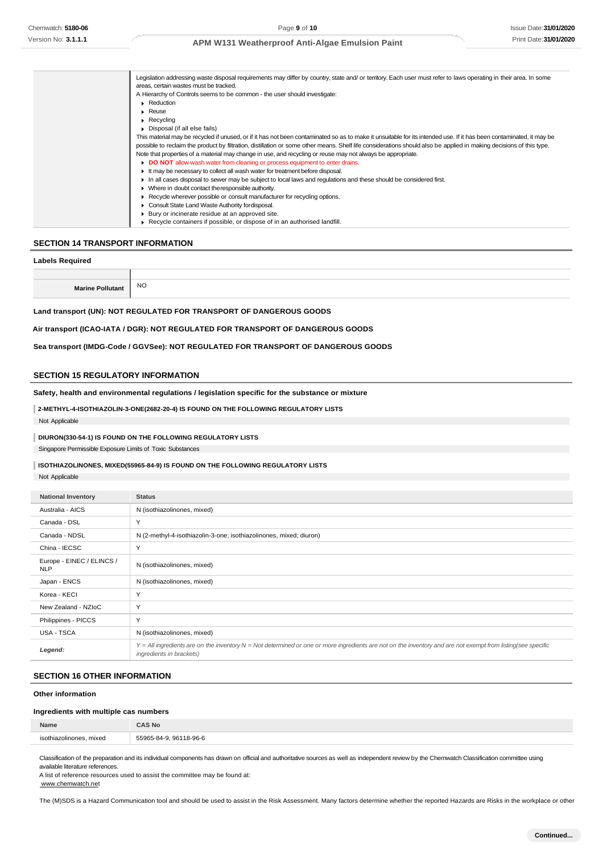|  | Legislation addressing waste disposal requirements may differ by country, state and/ or territory. Each user must refer to laws operating in their area. In some     |
|--|----------------------------------------------------------------------------------------------------------------------------------------------------------------------|
|  | areas, certain wastes must be tracked.                                                                                                                               |
|  | A Hierarchy of Controls seems to be common - the user should investigate:                                                                                            |
|  | Reduction                                                                                                                                                            |
|  | $\blacktriangleright$ Reuse                                                                                                                                          |
|  | $\blacktriangleright$ Recycling                                                                                                                                      |
|  | Disposal (if all else fails)                                                                                                                                         |
|  | This material may be recycled if unused, or if it has not been contaminated so as to make it unsuitable for its intended use. If it has been contaminated, it may be |
|  | possible to reclaim the product by filtration, distillation or some other means. Shelf life considerations should also be applied in making decisions of this type.  |
|  | Note that properties of a material may change in use, and recycling or reuse may not always be appropriate.                                                          |
|  | DO NOT allow wash water from cleaning or process equipment to enter drains.                                                                                          |
|  | If may be necessary to collect all wash water for treatment before disposal.                                                                                         |
|  | In all cases disposal to sewer may be subject to local laws and regulations and these should be considered first.                                                    |
|  | • Where in doubt contact the responsible authority.                                                                                                                  |
|  | ► Recycle wherever possible or consult manufacturer for recycling options.                                                                                           |
|  | Consult State Land Waste Authority for disposal.                                                                                                                     |
|  | ▶ Bury or incinerate residue at an approved site.                                                                                                                    |
|  | $\triangleright$ Recycle containers if possible, or dispose of in an authorised landfill.                                                                            |
|  |                                                                                                                                                                      |

### **SECTION 14 TRANSPORT INFORMATION**

#### **Labels Required**

| Marine Pollutant | <b>NO</b> |
|------------------|-----------|

**Land transport (UN): NOT REGULATED FOR TRANSPORT OF DANGEROUS GOODS**

#### **Air transport (ICAO-IATA / DGR): NOT REGULATED FOR TRANSPORT OF DANGEROUS GOODS**

**Sea transport (IMDG-Code / GGVSee): NOT REGULATED FOR TRANSPORT OF DANGEROUS GOODS**

#### **SECTION 15 REGULATORY INFORMATION**

**Safety, health and environmental regulations / legislation specific for the substance or mixture**

### **2-METHYL-4-ISOTHIAZOLIN-3-ONE(2682-20-4) IS FOUND ON THE FOLLOWING REGULATORY LISTS**

Not Applicable

### **DIURON(330-54-1) IS FOUND ON THE FOLLOWING REGULATORY LISTS**

Singapore Permissible Exposure Limits of Toxic Substances

#### **ISOTHIAZOLINONES, MIXED(55965-84-9) IS FOUND ON THE FOLLOWING REGULATORY LISTS**

Not Applicable

| <b>National Inventory</b>               | <b>Status</b>                                                                                                                                                                            |
|-----------------------------------------|------------------------------------------------------------------------------------------------------------------------------------------------------------------------------------------|
| Australia - AICS                        | N (isothiazolinones, mixed)                                                                                                                                                              |
| Canada - DSL                            | Y                                                                                                                                                                                        |
| Canada - NDSL                           | N (2-methyl-4-isothiazolin-3-one; isothiazolinones, mixed; diuron)                                                                                                                       |
| China - IECSC                           | Y                                                                                                                                                                                        |
| Europe - EINEC / ELINCS /<br><b>NLP</b> | N (isothiazolinones, mixed)                                                                                                                                                              |
| Japan - ENCS                            | N (isothiazolinones, mixed)                                                                                                                                                              |
| Korea - KECI                            | Y                                                                                                                                                                                        |
| New Zealand - NZIoC                     | Y                                                                                                                                                                                        |
| Philippines - PICCS                     | Y                                                                                                                                                                                        |
| USA - TSCA                              | N (isothiazolinones, mixed)                                                                                                                                                              |
| Legend:                                 | Y = All ingredients are on the inventory N = Not determined or one or more ingredients are not on the inventory and are not exempt from listing(see specific<br>ingredients in brackets) |

### **SECTION 16 OTHER INFORMATION**

### **Other information**

#### **Ingredients with multiple cas numbers**

| Name                         | <b>AS No</b>             |
|------------------------------|--------------------------|
| isothiazolinones.<br>, mixed | 96118-96-6<br>55065-84-0 |
|                              |                          |

Classification of the preparation and its individual components has drawn on official and authoritative sources as well as independent review by the Chemwatch Classification committee using available literature references.

A list of reference resources used to assist the committee may be found at: [www.chemwatch.net](http://www.chemwatch.net/)

The (M)SDS is a Hazard Communication tool and should be used to assist in the Risk Assessment. Many factors determine whether the reported Hazards are Risks in the workplace or other